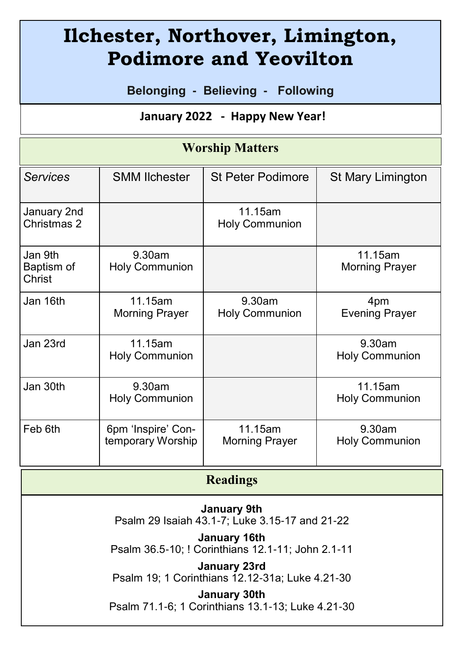# **Ilchester, Northover, Limington, Podimore and Yeovilton**

**Belonging - Believing - Following**

### **January 2022 - Happy New Year!**

#### **Worship Matters**

| <b>Services</b>                 | <b>SMM Ilchester</b>                    | <b>St Peter Podimore</b>           | St Mary Limington                  |
|---------------------------------|-----------------------------------------|------------------------------------|------------------------------------|
| January 2nd<br>Christmas 2      |                                         | 11.15am<br><b>Holy Communion</b>   |                                    |
| Jan 9th<br>Baptism of<br>Christ | $9.30$ am<br><b>Holy Communion</b>      |                                    | 11.15am<br><b>Morning Prayer</b>   |
| Jan 16th                        | 11.15am<br><b>Morning Prayer</b>        | $9.30$ am<br><b>Holy Communion</b> | 4pm<br><b>Evening Prayer</b>       |
| Jan 23rd                        | 11.15am<br><b>Holy Communion</b>        |                                    | $9.30$ am<br><b>Holy Communion</b> |
| Jan 30th                        | 9.30am<br><b>Holy Communion</b>         |                                    | 11.15am<br>Holy Communion          |
| Feb 6th                         | 6pm 'Inspire' Con-<br>temporary Worship | 11.15am<br>Morning Prayer          | $9.30$ am<br>Holy Communion        |

| <b>Readings</b>                                                   |  |  |  |
|-------------------------------------------------------------------|--|--|--|
| January 9th<br>Psalm 29 Isaiah 43.1-7; Luke 3.15-17 and 21-22     |  |  |  |
| January 16th<br>Psalm 36.5-10; ! Corinthians 12.1-11; John 2.1-11 |  |  |  |
| January 23rd<br>Psalm 19; 1 Corinthians 12.12-31a; Luke 4.21-30   |  |  |  |
| January 30th<br>Psalm 71.1-6; 1 Corinthians 13.1-13; Luke 4.21-30 |  |  |  |